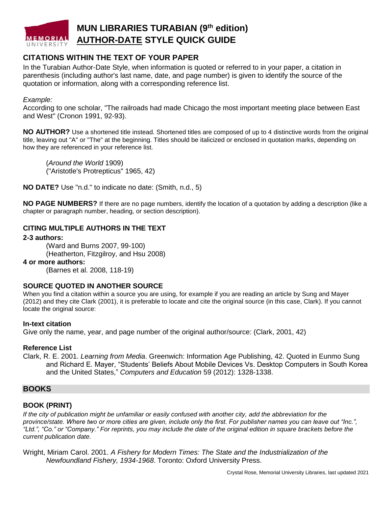

# **CITATIONS WITHIN THE TEXT OF YOUR PAPER**

In the Turabian Author-Date Style, when information is quoted or referred to in your paper, a citation in parenthesis (including author's last name, date, and page number) is given to identify the source of the quotation or information, along with a corresponding reference list.

#### *Example:*

According to one scholar, "The railroads had made Chicago the most important meeting place between East and West" (Cronon 1991, 92-93).

**NO AUTHOR?** Use a shortened title instead. Shortened titles are composed of up to 4 distinctive words from the original title, leaving out "A" or "The" at the beginning. Titles should be italicized or enclosed in quotation marks, depending on how they are referenced in your reference list.

(*Around the World* 1909) ("Aristotle's Protrepticus" 1965, 42)

**NO DATE?** Use "n.d." to indicate no date: (Smith, n.d., 5)

**NO PAGE NUMBERS?** If there are no page numbers, identify the location of a quotation by adding a description (like a chapter or paragraph number, heading, or section description).

### **CITING MULTIPLE AUTHORS IN THE TEXT**

**2-3 authors:**

(Ward and Burns 2007, 99-100) (Heatherton, Fitzgilroy, and Hsu 2008)

### **4 or more authors:**

(Barnes et al. 2008, 118-19)

### **SOURCE QUOTED IN ANOTHER SOURCE**

When you find a citation within a source you are using, for example if you are reading an article by Sung and Mayer (2012) and they cite Clark (2001), it is preferable to locate and cite the original source (in this case, Clark). If you cannot locate the original source:

### **In-text citation**

Give only the name, year, and page number of the original author/source: (Clark, 2001, 42)

### **Reference List**

Clark, R. E. 2001. *Learning from Media*. Greenwich: Information Age Publishing, 42. Quoted in Eunmo Sung and Richard E. Mayer, "Students' Beliefs About Mobile Devices Vs. Desktop Computers in South Korea and the United States," *Computers and Education* 59 (2012): 1328-1338.

## **BOOKS**

### **BOOK (PRINT)**

*If the city of publication might be unfamiliar or easily confused with another city, add the abbreviation for the province/state. Where two or more cities are given, include only the first. For publisher names you can leave out "Inc.", "Ltd.", "Co." or "Company." For reprints, you may include the date of the original edition in square brackets before the current publication date.*

Wright, Miriam Carol. 2001. *A Fishery for Modern Times: The State and the Industrialization of the Newfoundland Fishery, 1934-1968*. Toronto: Oxford University Press.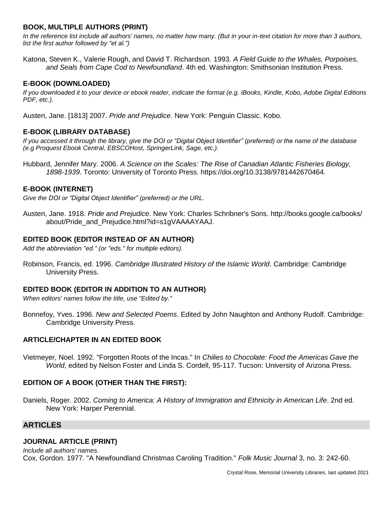# **BOOK, MULTIPLE AUTHORS (PRINT)**

*In the reference list include all authors' names, no matter how many. (But in your in-text citation for more than 3 authors, list the first author followed by "et al.")*

Katona, Steven K., Valerie Rough, and David T. Richardson. 1993. *A Field Guide to the Whales, Porpoises, and Seals from Cape Cod to Newfoundland*. 4th ed. Washington: Smithsonian Institution Press.

# **E-BOOK (DOWNLOADED)**

*If you downloaded it to your device or ebook reader, indicate the format (e.g. iBooks, Kindle, Kobo, Adobe Digital Editions PDF, etc.).*

Austen, Jane. [1813] 2007. *Pride and Prejudice*. New York: Penguin Classic. Kobo.

# **E-BOOK (LIBRARY DATABASE)**

*If you accessed it through the library, give the DOI or "Digital Object Identifier" (preferred) or the name of the database (e.g Proquest Ebook Central, EBSCOHost, SpringerLink, Sage, etc.).*

Hubbard, Jennifer Mary. 2006. *A Science on the Scales: The Rise of Canadian Atlantic Fisheries Biology, 1898-1939*. Toronto: University of Toronto Press. https://doi.org/10.3138/9781442670464.

# **E-BOOK (INTERNET)**

*Give the DOI or "Digital Object Identifier" (preferred) or the URL.*

Austen, Jane. 1918. *Pride and Prejudice*. New York: Charles Schribner's Sons. http://books.google.ca/books/ about/Pride\_and\_Prejudice.html?id=s1gVAAAAYAAJ.

# **EDITED BOOK (EDITOR INSTEAD OF AN AUTHOR)**

*Add the abbreviation "ed." (or "eds." for multiple editors).*

Robinson, Francis, ed. 1996. *Cambridge Illustrated History of the Islamic World*. Cambridge: Cambridge University Press.

## **EDITED BOOK (EDITOR IN ADDITION TO AN AUTHOR)**

*When editors' names follow the title, use "Edited by."*

Bonnefoy, Yves. 1996. *New and Selected Poems*. Edited by John Naughton and Anthony Rudolf. Cambridge: Cambridge University Press.

## **ARTICLE/CHAPTER IN AN EDITED BOOK**

Vietmeyer, Noel. 1992. "Forgotten Roots of the Incas." In *Chilies to Chocolate: Food the Americas Gave the World*, edited by Nelson Foster and Linda S. Cordell, 95-117. Tucson: University of Arizona Press.

# **EDITION OF A BOOK (OTHER THAN THE FIRST):**

Daniels, Roger. 2002. *Coming to America: A History of Immigration and Ethnicity in American Life*. 2nd ed. New York: Harper Perennial.

# **ARTICLES**

# **JOURNAL ARTICLE (PRINT)**

*Include all authors' names.* Cox, Gordon. 1977. "A Newfoundland Christmas Caroling Tradition." *Folk Music Journal* 3, no. 3: 242-60.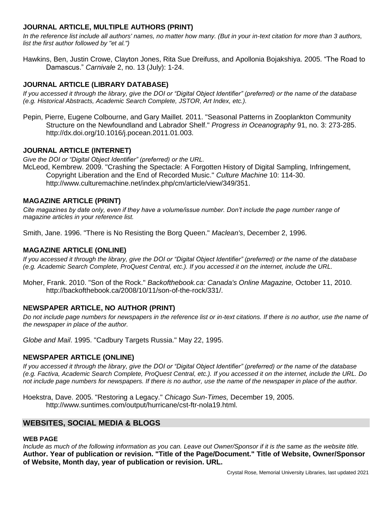# **JOURNAL ARTICLE, MULTIPLE AUTHORS (PRINT)**

*In the reference list include all authors' names, no matter how many. (But in your in-text citation for more than 3 authors, list the first author followed by "et al.")*

Hawkins, Ben, Justin Crowe, Clayton Jones, Rita Sue Dreifuss, and Apollonia Bojakshiya. 2005. "The Road to Damascus." *Carnivale* 2, no. 13 (July): 1-24.

# **JOURNAL ARTICLE (LIBRARY DATABASE)**

*If you accessed it through the library, give the DOI or "Digital Object Identifier" (preferred) or the name of the database (e.g. Historical Abstracts, Academic Search Complete, JSTOR, Art Index, etc.).*

Pepin, Pierre, Eugene Colbourne, and Gary Maillet. 2011. "Seasonal Patterns in Zooplankton Community Structure on the Newfoundland and Labrador Shelf." *Progress in Oceanography* 91, no. 3: 273-285. http://dx.doi.org/10.1016/j.pocean.2011.01.003.

## **JOURNAL ARTICLE (INTERNET)**

*Give the DOI or "Digital Object Identifier" (preferred) or the URL.* McLeod, Kembrew. 2009. "Crashing the Spectacle: A Forgotten History of Digital Sampling, Infringement, Copyright Liberation and the End of Recorded Music." *Culture Machine* 10: 114-30.

http://www.culturemachine.net/index.php/cm/article/view/349/351.

## **MAGAZINE ARTICLE (PRINT)**

*Cite magazines by date only, even if they have a volume/issue number. Don't include the page number range of magazine articles in your reference list.*

Smith, Jane. 1996. "There is No Resisting the Borg Queen." *Maclean's*, December 2, 1996.

## **MAGAZINE ARTICLE (ONLINE)**

*If you accessed it through the library, give the DOI or "Digital Object Identifier" (preferred) or the name of the database (e.g. Academic Search Complete, ProQuest Central, etc.). If you accessed it on the internet, include the URL.*

Moher, Frank. 2010. "Son of the Rock." *Backofthebook.ca: Canada's Online Magazine,* October 11, 2010. http://backofthebook.ca/2008/10/11/son-of-the-rock/331/.

## **NEWSPAPER ARTICLE, NO AUTHOR (PRINT)**

*Do not include page numbers for newspapers in the reference list or in-text citations. If there is no author, use the name of the newspaper in place of the author.* 

*Globe and Mail*. 1995. "Cadbury Targets Russia." May 22, 1995.

### **NEWSPAPER ARTICLE (ONLINE)**

*If you accessed it through the library, give the DOI or "Digital Object Identifier" (preferred) or the name of the database (e.g. Factiva, Academic Search Complete, ProQuest Central, etc.). If you accessed it on the internet, include the URL. Do not include page numbers for newspapers. If there is no author, use the name of the newspaper in place of the author.* 

Hoekstra, Dave. 2005. "Restoring a Legacy." *Chicago Sun-Times,* December 19, 2005. http://www.suntimes.com/output/hurricane/cst-ftr-nola19.html.

# **WEBSITES, SOCIAL MEDIA & BLOGS**

# **WEB PAGE**

*Include as much of the following information as you can. Leave out Owner/Sponsor if it is the same as the website title.* **Author. Year of publication or revision. "Title of the Page/Document." Title of Website, Owner/Sponsor of Website, Month day, year of publication or revision. URL.**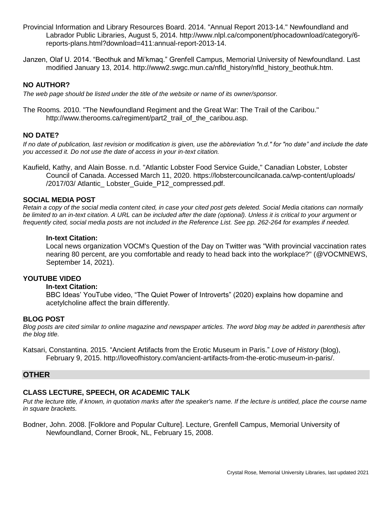- Provincial Information and Library Resources Board. 2014. "Annual Report 2013-14." Newfoundland and Labrador Public Libraries, August 5, 2014. http://www.nlpl.ca/component/phocadownload/category/6 reports-plans.html?download=411:annual-report-2013-14.
- Janzen, Olaf U. 2014. "Beothuk and Mi'kmaq." Grenfell Campus, Memorial University of Newfoundland. Last modified January 13, 2014. http://www2.swgc.mun.ca/nfld\_history/nfld\_history\_beothuk.htm.

## **NO AUTHOR?**

*The web page should be listed under the title of the website or name of its owner/sponsor.*

The Rooms*.* 2010. "The Newfoundland Regiment and the Great War: The Trail of the Caribou." http://www.therooms.ca/regiment/part2\_trail\_of\_the\_caribou.asp.

## **NO DATE?**

*If no date of publication, last revision or modification is given, use the abbreviation "n.d." for "no date" and include the date you accessed it. Do not use the date of access in your in-text citation.*

Kaufield, Kathy, and Alain Bosse. n.d. "Atlantic Lobster Food Service Guide," Canadian Lobster*,* Lobster Council of Canada. Accessed March 11, 2020. https://lobstercouncilcanada.ca/wp-content/uploads/ /2017/03/ Atlantic\_ Lobster\_Guide\_P12\_compressed.pdf.

### **SOCIAL MEDIA POST**

*Retain a copy of the social media content cited, in case your cited post gets deleted. Social Media citations can normally be limited to an in-text citation. A URL can be included after the date (optional). Unless it is critical to your argument or frequently cited, social media posts are* not *included in the Reference List. See pp. 262-264 for examples if needed.*

#### **In-text Citation:**

Local news organization VOCM's Question of the Day on Twitter was "With provincial vaccination rates nearing 80 percent, are you comfortable and ready to head back into the workplace?" (@VOCMNEWS, September 14, 2021).

## **YOUTUBE VIDEO**

#### **In-text Citation:**

BBC Ideas' YouTube video, "The Quiet Power of Introverts" (2020) explains how dopamine and acetylcholine affect the brain differently.

### **BLOG POST**

*Blog posts are cited similar to online magazine and newspaper articles. The word blog may be added in parenthesis after the blog title.*

Katsari, Constantina. 2015. "Ancient Artifacts from the Erotic Museum in Paris." *Love of History* (blog), February 9, 2015. http://loveofhistory.com/ancient-artifacts-from-the-erotic-museum-in-paris/.

## **OTHER**

## **CLASS LECTURE, SPEECH, OR ACADEMIC TALK**

Put the lecture title, if known, in quotation marks after the speaker's name. If the lecture is untitled, place the course name *in square brackets.*

Bodner, John. 2008. [Folklore and Popular Culture]. Lecture, Grenfell Campus, Memorial University of Newfoundland, Corner Brook, NL, February 15, 2008.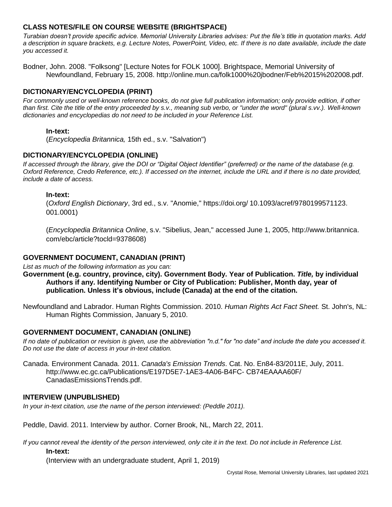# **CLASS NOTES/FILE ON COURSE WEBSITE (BRIGHTSPACE)**

*Turabian doesn't provide specific advice. Memorial University Libraries advises: Put the file's title in quotation marks. Add a description in square brackets, e.g. Lecture Notes, PowerPoint, Video, etc. If there is no date available, include the date you accessed it.*

Bodner, John. 2008. "Folksong" [Lecture Notes for FOLK 1000]. Brightspace, Memorial University of Newfoundland, February 15, 2008. http://online.mun.ca/folk1000%20jbodner/Feb%2015%202008.pdf.

# **DICTIONARY/ENCYCLOPEDIA (PRINT)**

*For commonly used or well-known reference books, do not give full publication information; only provide edition, if other than first. Cite the title of the entry proceeded by s.v., meaning sub verbo, or "under the word" (plural s.vv.). Well-known dictionaries and encyclopedias do not need to be included in your Reference List.*

## **In-text:**

(*Encyclopedia Britannica,* 15th ed., s.v. "Salvation")

## **DICTIONARY/ENCYCLOPEDIA (ONLINE)**

*If accessed through the library, give the DOI or "Digital Object Identifier" (preferred) or the name of the database (e.g. Oxford Reference, Credo Reference, etc.). If accessed on the internet, include the URL and if there is no date provided, include a date of access.*

### **In-text:**

(*Oxford English Dictionary*, 3rd ed., s.v. "Anomie," https://doi.org/ 10.1093/acref/9780199571123. 001.0001)

(*Encyclopedia Britannica Online*, s.v. "Sibelius, Jean," accessed June 1, 2005, http://www.britannica. com/ebc/article?tocld=9378608)

## **GOVERNMENT DOCUMENT, CANADIAN (PRINT)**

*List as much of the following information as you can:*

- **Government (e.g. country, province, city). Government Body. Year of Publication.** *Title,* **by individual Authors if any. Identifying Number or City of Publication: Publisher, Month day, year of publication. Unless it's obvious, include (Canada) at the end of the citation.**
- Newfoundland and Labrador. Human Rights Commission. 2010. *Human Rights Act Fact Sheet.* St. John's, NL: Human Rights Commission, January 5, 2010.

## **GOVERNMENT DOCUMENT, CANADIAN (ONLINE)**

*If no date of publication or revision is given, use the abbreviation "n.d." for "no date" and include the date you accessed it. Do not use the date of access in your in-text citation.*

Canada. Environment Canada. 2011. *Canada's Emission Trends*. Cat. No. En84-83/2011E, July, 2011. http://www.ec.gc.ca/Publications/E197D5E7-1AE3-4A06-B4FC- CB74EAAAA60F/ CanadasEmissionsTrends.pdf.

### **INTERVIEW (UNPUBLISHED)**

*In your in-text citation, use the name of the person interviewed: (Peddle 2011).*

Peddle, David. 2011. Interview by author. Corner Brook, NL, March 22, 2011.

*If you cannot reveal the identity of the person interviewed, only cite it in the text. Do not include in Reference List.*

### **In-text:**

(Interview with an undergraduate student, April 1, 2019)